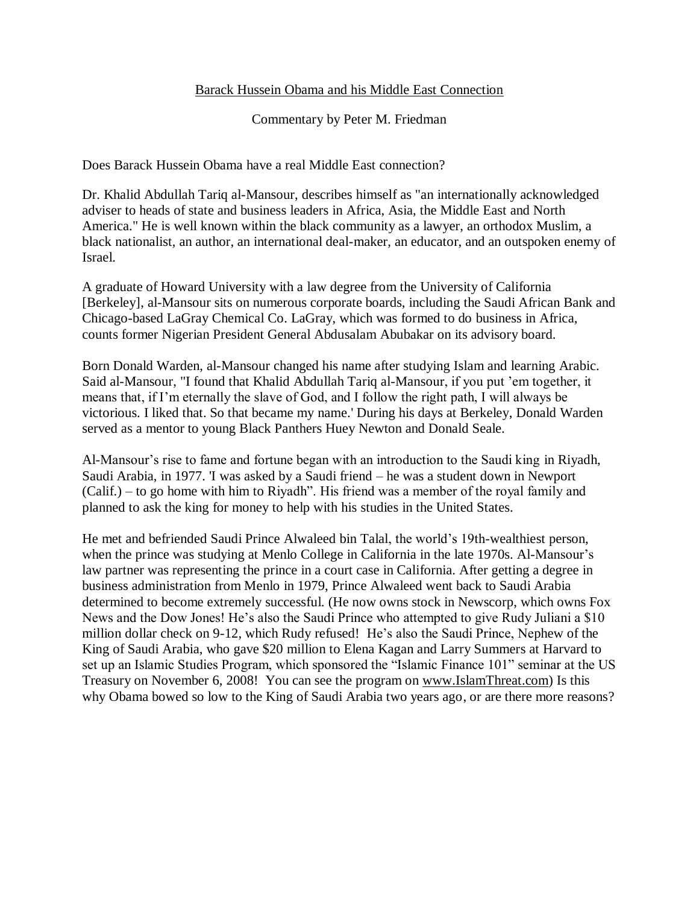## Barack Hussein Obama and his Middle East Connection

Commentary by Peter M. Friedman

Does Barack Hussein Obama have a real Middle East connection?

Dr. Khalid Abdullah Tariq al-Mansour, describes himself as "an internationally acknowledged adviser to heads of state and business leaders in Africa, Asia, the Middle East and North America." He is well known within the black community as a lawyer, an orthodox Muslim, a black nationalist, an author, an international deal-maker, an educator, and an outspoken enemy of Israel.

A graduate of Howard University with a law degree from the University of California [Berkeley], al-Mansour sits on numerous corporate boards, including the Saudi African Bank and Chicago-based LaGray Chemical Co. LaGray, which was formed to do business in Africa, counts former Nigerian President General Abdusalam Abubakar on its advisory board.

Born Donald Warden, al-Mansour changed his name after studying Islam and learning Arabic. Said al-Mansour, "I found that Khalid Abdullah Tariq al-Mansour, if you put 'em together, it means that, if I'm eternally the slave of God, and I follow the right path, I will always be victorious. I liked that. So that became my name.' During his days at Berkeley, Donald Warden served as a mentor to young Black Panthers Huey Newton and Donald Seale.

Al-Mansour's rise to fame and fortune began with an introduction to the Saudi king in Riyadh, Saudi Arabia, in 1977. 'I was asked by a Saudi friend – he was a student down in Newport  $(Calif.) - to go home with him to Rivadh'. His friend was a member of the royal family and$ planned to ask the king for money to help with his studies in the United States.

He met and befriended Saudi Prince Alwaleed bin Talal, the world's 19th-wealthiest person, when the prince was studying at Menlo College in California in the late 1970s. Al-Mansour's law partner was representing the prince in a court case in California. After getting a degree in business administration from Menlo in 1979, Prince Alwaleed went back to Saudi Arabia determined to become extremely successful. (He now owns stock in Newscorp, which owns Fox News and the Dow Jones! He's also the Saudi Prince who attempted to give Rudy Juliani a \$10 million dollar check on 9-12, which Rudy refused! He's also the Saudi Prince, Nephew of the King of Saudi Arabia, who gave \$20 million to Elena Kagan and Larry Summers at Harvard to set up an Islamic Studies Program, which sponsored the "Islamic Finance 101" seminar at the US Treasury on November 6, 2008! You can see the program on [www.IslamThreat.com\)](http://www.islamthreat.com/) Is this why Obama bowed so low to the King of Saudi Arabia two years ago, or are there more reasons?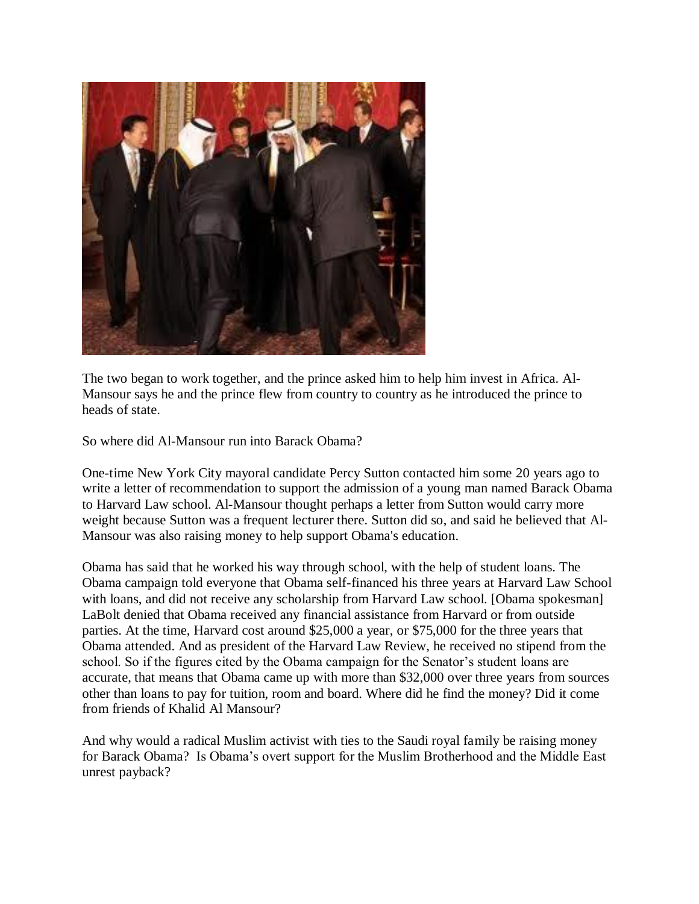

The two began to work together, and the prince asked him to help him invest in Africa. Al-Mansour says he and the prince flew from country to country as he introduced the prince to heads of state.

So where did Al-Mansour run into Barack Obama?

One-time New York City mayoral candidate Percy Sutton contacted him some 20 years ago to write a letter of recommendation to support the admission of a young man named Barack Obama to Harvard Law school. Al-Mansour thought perhaps a letter from Sutton would carry more weight because Sutton was a frequent lecturer there. Sutton did so, and said he believed that Al-Mansour was also raising money to help support Obama's education.

Obama has said that he worked his way through school, with the help of student loans. The Obama campaign told everyone that Obama self-financed his three years at Harvard Law School with loans, and did not receive any scholarship from Harvard Law school. [Obama spokesman] LaBolt denied that Obama received any financial assistance from Harvard or from outside parties. At the time, Harvard cost around \$25,000 a year, or \$75,000 for the three years that Obama attended. And as president of the Harvard Law Review, he received no stipend from the school. So if the figures cited by the Obama campaign for the Senator's student loans are accurate, that means that Obama came up with more than \$32,000 over three years from sources other than loans to pay for tuition, room and board. Where did he find the money? Did it come from friends of Khalid Al Mansour?

And why would a radical Muslim activist with ties to the Saudi royal family be raising money for Barack Obama? Is Obama's overt support for the Muslim Brotherhood and the Middle East unrest payback?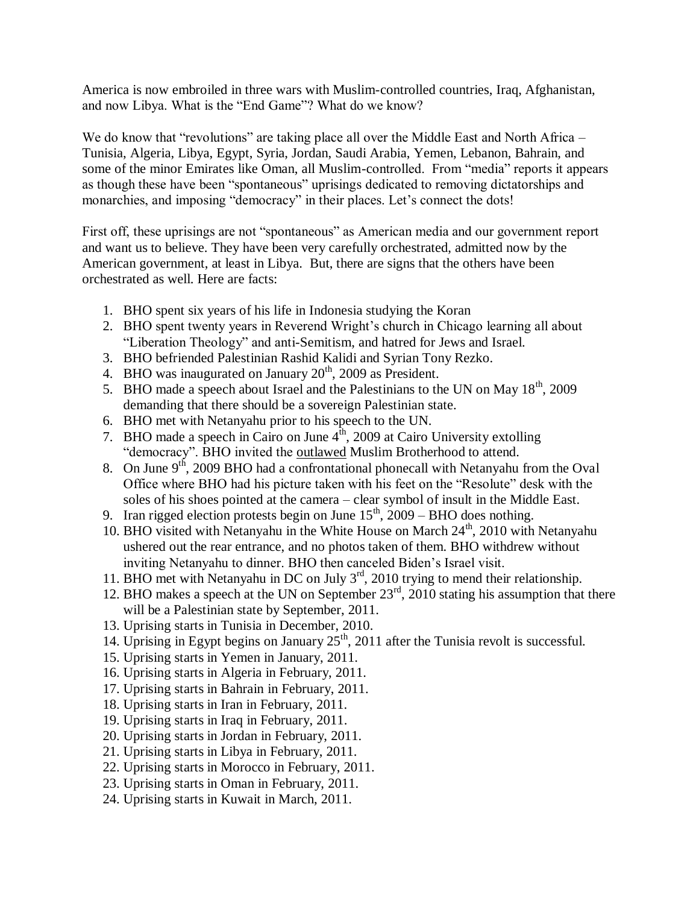America is now embroiled in three wars with Muslim-controlled countries, Iraq, Afghanistan, and now Libya. What is the "End Game"? What do we know?

We do know that "revolutions" are taking place all over the Middle East and North Africa – Tunisia, Algeria, Libya, Egypt, Syria, Jordan, Saudi Arabia, Yemen, Lebanon, Bahrain, and some of the minor Emirates like Oman, all Muslim-controlled. From "media" reports it appears as though these have been "spontaneous" uprisings dedicated to removing dictatorships and monarchies, and imposing "democracy" in their places. Let's connect the dots!

First off, these uprisings are not "spontaneous" as American media and our government report and want us to believe. They have been very carefully orchestrated, admitted now by the American government, at least in Libya. But, there are signs that the others have been orchestrated as well. Here are facts:

- 1. BHO spent six years of his life in Indonesia studying the Koran
- 2. BHO spent twenty years in Reverend Wright's church in Chicago learning all about "Liberation Theology" and anti-Semitism, and hatred for Jews and Israel.
- 3. BHO befriended Palestinian Rashid Kalidi and Syrian Tony Rezko.
- 4. BHO was inaugurated on January  $20<sup>th</sup>$ , 2009 as President.
- 5. BHO made a speech about Israel and the Palestinians to the UN on May  $18<sup>th</sup>$ , 2009 demanding that there should be a sovereign Palestinian state.
- 6. BHO met with Netanyahu prior to his speech to the UN.
- 7. BHO made a speech in Cairo on June  $4<sup>th</sup>$ , 2009 at Cairo University extolling "democracy". BHO invited the outlawed Muslim Brotherhood to attend.
- 8. On June  $9^{th}$ , 2009 BHO had a confrontational phonecall with Netanyahu from the Oval Office where BHO had his picture taken with his feet on the "Resolute" desk with the soles of his shoes pointed at the camera – clear symbol of insult in the Middle East.
- 9. Iran rigged election protests begin on June  $15<sup>th</sup>$ , 2009 BHO does nothing.
- 10. BHO visited with Netanyahu in the White House on March  $24<sup>th</sup>$ , 2010 with Netanyahu ushered out the rear entrance, and no photos taken of them. BHO withdrew without inviting Netanyahu to dinner. BHO then canceled Biden's Israel visit.
- 11. BHO met with Netanyahu in DC on July 3<sup>rd</sup>, 2010 trying to mend their relationship.
- 12. BHO makes a speech at the UN on September  $23<sup>rd</sup>$ , 2010 stating his assumption that there will be a Palestinian state by September, 2011.
- 13. Uprising starts in Tunisia in December, 2010.
- 14. Uprising in Egypt begins on January  $25<sup>th</sup>$ , 2011 after the Tunisia revolt is successful.
- 15. Uprising starts in Yemen in January, 2011.
- 16. Uprising starts in Algeria in February, 2011.
- 17. Uprising starts in Bahrain in February, 2011.
- 18. Uprising starts in Iran in February, 2011.
- 19. Uprising starts in Iraq in February, 2011.
- 20. Uprising starts in Jordan in February, 2011.
- 21. Uprising starts in Libya in February, 2011.
- 22. Uprising starts in Morocco in February, 2011.
- 23. Uprising starts in Oman in February, 2011.
- 24. Uprising starts in Kuwait in March, 2011.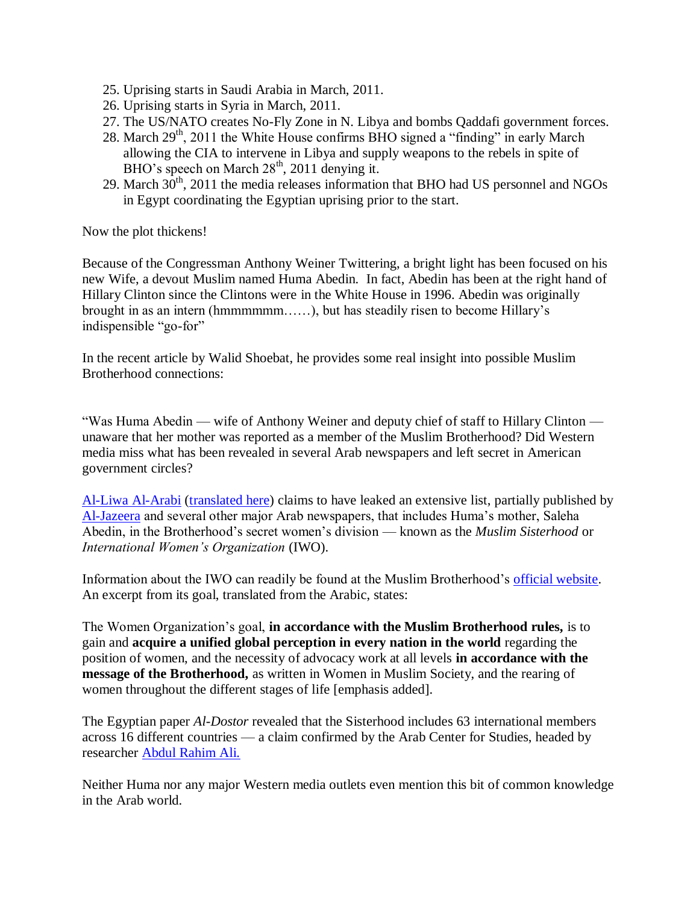- 25. Uprising starts in Saudi Arabia in March, 2011.
- 26. Uprising starts in Syria in March, 2011.
- 27. The US/NATO creates No-Fly Zone in N. Libya and bombs Qaddafi government forces.
- 28. March  $29<sup>th</sup>$ , 2011 the White House confirms BHO signed a "finding" in early March allowing the CIA to intervene in Libya and supply weapons to the rebels in spite of BHO's speech on March  $28<sup>th</sup>$ , 2011 denying it.
- 29. March  $30<sup>th</sup>$ , 2011 the media releases information that BHO had US personnel and NGOs in Egypt coordinating the Egyptian uprising prior to the start.

Now the plot thickens!

Because of the Congressman Anthony Weiner Twittering, a bright light has been focused on his new Wife, a devout Muslim named Huma Abedin. In fact, Abedin has been at the right hand of Hillary Clinton since the Clintons were in the White House in 1996. Abedin was originally brought in as an intern (hmmmmmm……), but has steadily risen to become Hillary's indispensible "go-for"

In the recent article by Walid Shoebat, he provides some real insight into possible Muslim Brotherhood connections:

"Was Huma Abedin — wife of Anthony Weiner and deputy chief of staff to Hillary Clinton unaware that her mother was reported as a member of the Muslim Brotherhood? Did Western media miss what has been revealed in several Arab newspapers and left secret in American government circles?

[Al-Liwa Al-Arabi](http://hobaheba.blogspot.com/) [\(translated here\)](http://www.shoebat.com/blog/archives/1202) claims to have leaked an extensive list, partially published by [Al-Jazeera](http://www.aljazeera.net/Mob/Templates/Postings/NewsDetailedPage.aspx?GUID=666261C4-31C1-4DE3-86B5-FD0E84ACBE28) and several other major Arab newspapers, that includes Huma's mother, Saleha Abedin, in the Brotherhood's secret women's division — known as the *Muslim Sisterhood* or *International Women's Organization* (IWO).

Information about the IWO can readily be found at the Muslim Brotherhood's [official website.](http://www.ikhwanhistory.org/index.php?title=%5F%5F%5F%5F%5F_%5F%5F%5F%5F%5F%5F_%28%5F%5F%5F%5F%5F%5F%29&diff=87650&oldid=87648) An excerpt from its goal, translated from the Arabic, states:

The Women Organization's goal, **in accordance with the Muslim Brotherhood rules,** is to gain and **acquire a unified global perception in every nation in the world** regarding the position of women, and the necessity of advocacy work at all levels **in accordance with the message of the Brotherhood,** as written in Women in Muslim Society, and the rearing of women throughout the different stages of life [emphasis added].

The Egyptian paper *Al-Dostor* revealed that the Sisterhood includes 63 international members across 16 different countries — a claim confirmed by the Arab Center for Studies, headed by researcher [Abdul Rahim Ali.](http://www.ikhwanweb.com/article.php?id=23185)

Neither Huma nor any major Western media outlets even mention this bit of common knowledge in the Arab world.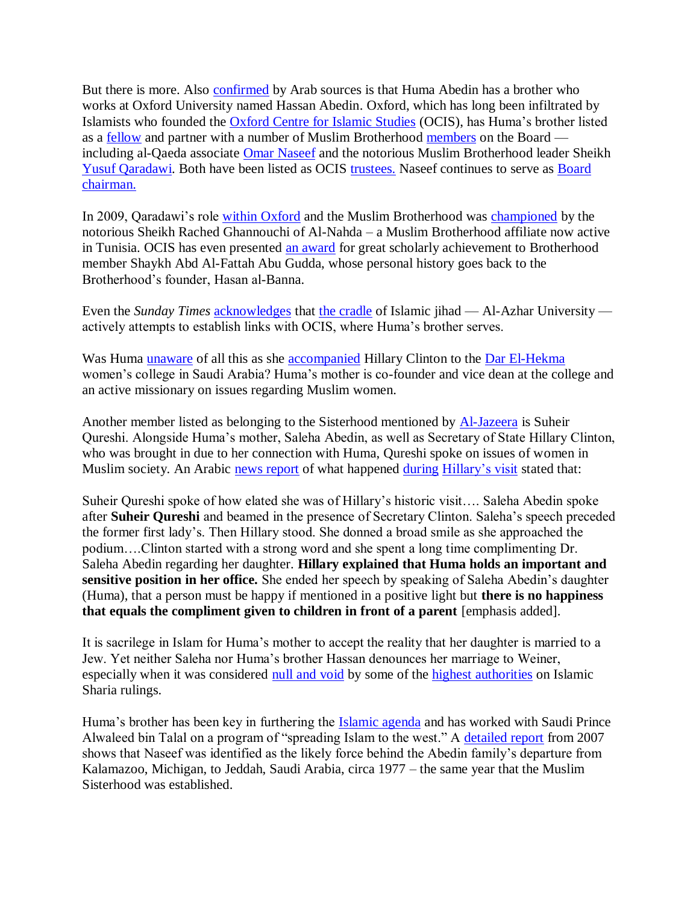But there is more. Also [confirmed](http://alqumaa.net/vb/showthread.php?t=45524) by Arab sources is that Huma Abedin has a brother who works at Oxford University named Hassan Abedin. Oxford, which has long been infiltrated by Islamists who founded the [Oxford Centre for Islamic Studies](http://alqumaa.net/vb/showthread.php?t=45524) (OCIS), has Huma's brother listed as a [fellow](http://www.oxcis.ac.uk/fellows.html) and partner with a number of Muslim Brotherhood [members](http://www.almktaba.com/book/picbook/book8/p16.html) on the Board including al-Qaeda associate [Omar Naseef](http://www.freerepublic.com/focus/f-news/1924323/posts) and the notorious Muslim Brotherhood leader Sheikh [Yusuf Qaradawi.](http://www.discoverthenetworks.org/individualProfile.asp?indid=822) Both have been listed as OCIS [trustees.](http://globalmbreport.com/?p=2641) Naseef continues to serve as Board [chairman.](http://www.charityperformance.com/charity-details.php?id=12448)

In 2009, Qaradawi's role [within Oxford](http://ikhwanmisr.net/article.php?id=21082) and the Muslim Brotherhood was [championed](http://www.ghannoushi.net/index.php?option=com_content&view=article&id=298:qaradawi) by the notorious Sheikh Rached Ghannouchi of Al-Nahda – a Muslim Brotherhood affiliate now active in Tunisia. OCIS has even presented [an award](http://www.sunniforum.com/forum/showthread.php?10813-Shaykh-Abd-Al-Fattah-Abu-Gudda) for great scholarly achievement to Brotherhood member Shaykh Abd Al-Fattah Abu Gudda, whose personal history goes back to the Brotherhood's founder, Hasan al-Banna.

Even the *Sunday Times* **<u>[acknowledges](http://www.timesonline.co.uk/tol/comment/faith/article7099811.ece)</u>** that [the cradle](http://www.jihadwatch.org/2009/05/sheikh-al-azhar-urges-jihad-against-terrorists.html) of Islamic jihad — Al-Azhar University actively attempts to establish links with OCIS, where Huma's brother serves.

Was Huma [unaware](http://www.indianexpress.com/news/huma-abedin-sucked-into-weiner-scandal/803127/) of all this as she [accompanied](http://globalmbreport.org/?p=2242) Hillary Clinton to the [Dar El-Hekma](https://sisweb.daralhekma.edu.sa:8251/portal/page?_pageid=374,146513&_dad=portal&_schema=PORTAL) women's college in Saudi Arabia? Huma's mother is co-founder and vice dean at the college and an active missionary on issues regarding Muslim women.

Another member listed as belonging to the Sisterhood mentioned by [Al-Jazeera](http://www.aljazeera.net/Mob/Templates/Postings/NewsDetailedPage.aspx?GUID=666261C4-31C1-4DE3-86B5-FD0E84ACBE28) is Suheir Qureshi. Alongside Huma's mother, Saleha Abedin, as well as Secretary of State Hillary Clinton, who was brought in due to her connection with Huma, Qureshi spoke on issues of women in Muslim society. An Arabic [news report](http://www.mnfaa.com/vb/showthread.php?t=8889) of what happened [during](http://secretaryclinton.wordpress.com/2010/02/15/hillary-clinton-in-saudi-arabia/) [Hillary's visit](http://globalmbreport.org/?p=2242) stated that:

Suheir Qureshi spoke of how elated she was of Hillary's historic visit…. Saleha Abedin spoke after **Suheir Qureshi** and beamed in the presence of Secretary Clinton. Saleha's speech preceded the former first lady's. Then Hillary stood. She donned a broad smile as she approached the podium….Clinton started with a strong word and she spent a long time complimenting Dr. Saleha Abedin regarding her daughter. **Hillary explained that Huma holds an important and sensitive position in her office.** She ended her speech by speaking of Saleha Abedin's daughter (Huma), that a person must be happy if mentioned in a positive light but **there is no happiness that equals the compliment given to children in front of a parent** [emphasis added].

It is sacrilege in Islam for Huma's mother to accept the reality that her daughter is married to a Jew. Yet neither Saleha nor Huma's brother Hassan denounces her marriage to Weiner, especially when it was considered [null and void](http://qa.sunnipath.com/issue_view.asp?HD=7&ID=11439&CATE=1436) by some of the [highest authorities](http://www.farfesh.com/Display.asp?catID=119&mainCatID=117&sID=82834) on Islamic Sharia rulings.

Huma's brother has been key in furthering the [Islamic agenda](http://www.alriyadh.com/2006/02/22/article132831.html) and has worked with Saudi Prince Alwaleed bin Talal on a program of "spreading Islam to the west." A [detailed report](http://www.freerepublic.com/focus/f-news/1924323/posts) from 2007 shows that Naseef was identified as the likely force behind the Abedin family's departure from Kalamazoo, Michigan, to Jeddah, Saudi Arabia, circa 1977 – the same year that the Muslim Sisterhood was established.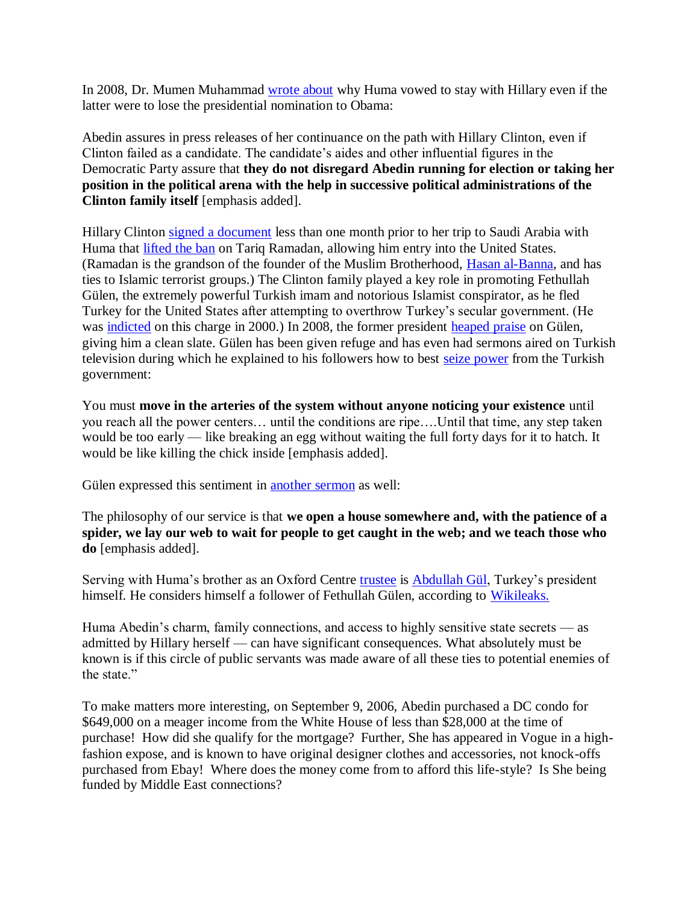In 2008, Dr. Mumen Muhammad [wrote about](http://www.syria-aleppo.com/news/1778.html) why Huma vowed to stay with Hillary even if the latter were to lose the presidential nomination to Obama:

Abedin assures in press releases of her continuance on the path with Hillary Clinton, even if Clinton failed as a candidate. The candidate's aides and other influential figures in the Democratic Party assure that **they do not disregard Abedin running for election or taking her position in the political arena with the help in successive political administrations of the Clinton family itself** [emphasis added].

Hillary Clinton [signed a document](http://www.tariqramadan.com/US-Government-Lifts-Ban-on-Tariq.html) less than one month prior to her trip to Saudi Arabia with Huma that [lifted the ban](http://globalmbreport.org/?p=1956) on Tariq Ramadan, allowing him entry into the United States. (Ramadan is the grandson of the founder of the Muslim Brotherhood, [Hasan al-Banna,](http://www.discoverthenetworks.org/individualProfile.asp?indid=1368) and has ties to Islamic terrorist groups.) The Clinton family played a key role in promoting Fethullah Gülen, the extremely powerful Turkish imam and notorious Islamist conspirator, as he fled Turkey for the United States after attempting to overthrow Turkey's secular government. (He was [indicted](http://www.guardian.co.uk/world/2000/sep/01/1) on this charge in 2000.) In 2008, the former president [heaped](http://www.youtube.com/user/turkishcenter) praise on Gülen, giving him a clean slate. Gülen has been given refuge and has even had sermons aired on Turkish television during which he explained to his followers how to best [seize power](http://www.meforum.org/2045/fethullah-gulens-grand-ambition) from the Turkish government:

You must **move in the arteries of the system without anyone noticing your existence** until you reach all the power centers… until the conditions are ripe….Until that time, any step taken would be too early — like breaking an egg without waiting the full forty days for it to hatch. It would be like killing the chick inside [emphasis added].

Gülen expressed this sentiment in [another sermon](http://www.meforum.org/2045/fethullah-gulens-grand-ambition#_ftnref49) as well:

The philosophy of our service is that **we open a house somewhere and, with the patience of a spider, we lay our web to wait for people to get caught in the web; and we teach those who do** [emphasis added].

Serving with Huma's brother as an Oxford Centre [trustee](http://globalmbreport.com/?p=2641) is [Abdullah Gül,](http://news.bbc.co.uk/2/hi/europe/6595511.stm) Turkey's president himself. He considers himself a follower of Fethullah Gülen, according to [Wikileaks.](http://leaksfree.com/2009/12/gulen-turkeys-invisible-man-casts-long-shadow/)

Huma Abedin's charm, family connections, and access to highly sensitive state secrets — as admitted by Hillary herself — can have significant consequences. What absolutely must be known is if this circle of public servants was made aware of all these ties to potential enemies of the state"

To make matters more interesting, on September 9, 2006, Abedin purchased a DC condo for \$649,000 on a meager income from the White House of less than \$28,000 at the time of purchase! How did she qualify for the mortgage? Further, She has appeared in Vogue in a highfashion expose, and is known to have original designer clothes and accessories, not knock-offs purchased from Ebay! Where does the money come from to afford this life-style? Is She being funded by Middle East connections?